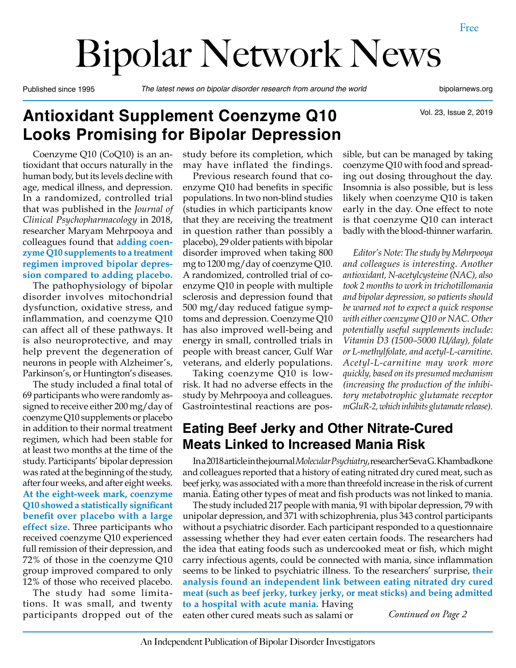# Bipolar Network News

Published since 1995 *The latest news on bipolar disorder research from around the world* bipolarnews.org

Vol. 23, Issue 2, 2019

# **Antioxidant Supplement Coenzyme Q10 Looks Promising for Bipolar Depression**

Coenzyme Q10 (CoQ10) is an antioxidant that occurs naturally in the human body, but its levels decline with age, medical illness, and depression. In a randomized, controlled trial that was published in the *Journal of Clinical Psychopharmacology* in 2018, researcher Maryam Mehrpooya and colleagues found that **adding coenzyme Q10 supplements to a treatment regimen improved bipolar depression compared to adding placebo.**

The pathophysiology of bipolar disorder involves mitochondrial dysfunction, oxidative stress, and inflammation, and coenzyme Q10 can affect all of these pathways. It is also neuroprotective, and may help prevent the degeneration of neurons in people with Alzheimer's, Parkinson's, or Huntington's diseases.

The study included a final total of 69 participants who were randomly assigned to receive either 200 mg/day of coenzyme Q10 supplements or placebo in addition to their normal treatment regimen, which had been stable for at least two months at the time of the study. Participants' bipolar depression was rated at the beginning of the study, after four weeks, and after eight weeks. **At the eight-week mark, coenzyme Q10 showed a statistically significant benefit over placebo with a large effect size.** Three participants who received coenzyme Q10 experienced full remission of their depression, and 72% of those in the coenzyme Q10 group improved compared to only 12% of those who received placebo.

The study had some limitations. It was small, and twenty participants dropped out of the study before its completion, which may have inflated the findings.

Previous research found that coenzyme Q10 had benefits in specific populations. In two non-blind studies (studies in which participants know that they are receiving the treatment in question rather than possibly a placebo), 29 older patients with bipolar disorder improved when taking 800 mg to 1200 mg/day of coenzyme Q10. A randomized, controlled trial of coenzyme Q10 in people with multiple sclerosis and depression found that 500 mg/day reduced fatigue symptoms and depression. Coenzyme Q10 has also improved well-being and energy in small, controlled trials in people with breast cancer, Gulf War veterans, and elderly populations.

Taking coenzyme Q10 is lowrisk. It had no adverse effects in the study by Mehrpooya and colleagues. Gastrointestinal reactions are pos-

## **Eating Beef Jerky and Other Nitrate-Cured Meats Linked to Increased Mania Risk**

In a 2018 article in the journal *Molecular Psychiatry*, researcher Seva G. Khambadkone and colleagues reported that a history of eating nitrated dry cured meat, such as beef jerky, was associated with a more than threefold increase in the risk of current mania. Eating other types of meat and fish products was not linked to mania.

The study included 217 people with mania, 91 with bipolar depression, 79 with unipolar depression, and 371 with schizophrenia, plus 343 control participants without a psychiatric disorder. Each participant responded to a questionnaire assessing whether they had ever eaten certain foods. The researchers had the idea that eating foods such as undercooked meat or fish, which might carry infectious agents, could be connected with mania, since inflammation seems to be linked to psychiatric illness. To the researchers' surprise, **their analysis found an independent link between eating nitrated dry cured meat (such as beef jerky, turkey jerky, or meat sticks) and being admitted to a hospital with acute mania.** Having

eaten other cured meats such as salami or

*Continued on Page 2*

sible, but can be managed by taking coenzyme Q10 with food and spreading out dosing throughout the day. Insomnia is also possible, but is less likely when coenzyme Q10 is taken early in the day. One effect to note is that coenzyme Q10 can interact

badly with the blood-thinner warfarin.

*Editor's Note: The study by Mehrpooya and colleagues is interesting. Another antioxidant, N-acetylcysteine (NAC), also took 2 months to work in trichotillomania and bipolar depression, so patients should be warned not to expect a quick response with either coenzyme Q10 or NAC. Other potentially useful supplements include: Vitamin D3 (1500–5000 IU/day), folate or L-methylfolate, and acetyl-L-carnitine. Acetyl-L-carnitine may work more quickly, based on its presumed mechanism (increasing the production of the inhibitory metabotrophic glutamate receptor mGluR-2, which inhibits glutamate release).*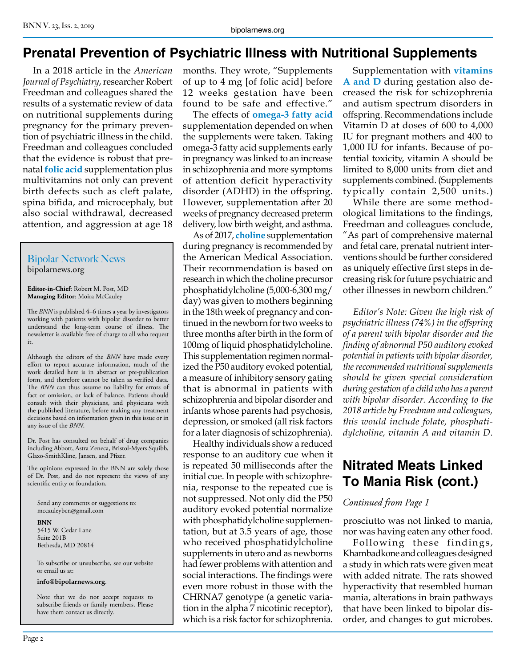### **Prenatal Prevention of Psychiatric Illness with Nutritional Supplements**

In a 2018 article in the *American Journal of Psychiatry*, researcher Robert Freedman and colleagues shared the results of a systematic review of data on nutritional supplements during pregnancy for the primary prevention of psychiatric illness in the child. Freedman and colleagues concluded that the evidence is robust that prenatal **folic acid** supplementation plus multivitamins not only can prevent birth defects such as cleft palate, spina bifida, and microcephaly, but also social withdrawal, decreased attention, and aggression at age 18

#### Bipolar Network News bipolarnews.org

**Editor-in-Chief**: Robert M. Post, MD **Managing Editor**: Moira McCauley

The *BNN* is published 4–6 times a year by investigators working with patients with bipolar disorder to better understand the long-term course of illness. The newsletter is available free of charge to all who request it.

Although the editors of the *BNN* have made every effort to report accurate information, much of the work detailed here is in abstract or pre-publication form, and therefore cannot be taken as verified data. The *BNN* can thus assume no liability for errors of fact or omission, or lack of balance. Patients should consult with their physicians, and physicians with the published literature, before making any treatment decisions based on information given in this issue or in any issue of the *BNN*.

Dr. Post has consulted on behalf of drug companies including Abbott, Astra Zeneca, Bristol-Myers Squibb, Glaxo-SmithKline, Jansen, and Pfizer.

The opinions expressed in the BNN are solely those of Dr. Post, and do not represent the views of any scientific entity or foundation.

Send any comments or suggestions to: mccauleybcn@gmail.com

**BNN** 5415 W. Cedar Lane Suite 201B Bethesda, MD 20814

To subscribe or unsubscribe, see our website or email us at:

**info@bipolarnews.org**.

Note that we do not accept requests to subscribe friends or family members. Please have them contact us directly.

months. They wrote, "Supplements of up to 4 mg [of folic acid] before 12 weeks gestation have been found to be safe and effective."

The effects of **omega-3 fatty acid**  supplementation depended on when the supplements were taken. Taking omega-3 fatty acid supplements early in pregnancy was linked to an increase in schizophrenia and more symptoms of attention deficit hyperactivity disorder (ADHD) in the offspring. However, supplementation after 20 weeks of pregnancy decreased preterm delivery, low birth weight, and asthma.

As of 2017, **choline** supplementation during pregnancy is recommended by the American Medical Association. Their recommendation is based on research in which the choline precursor phosphatidylcholine (5,000-6,300 mg/ day) was given to mothers beginning in the 18th week of pregnancy and continued in the newborn for two weeks to three months after birth in the form of 100mg of liquid phosphatidylcholine. This supplementation regimen normalized the P50 auditory evoked potential, a measure of inhibitory sensory gating that is abnormal in patients with schizophrenia and bipolar disorder and infants whose parents had psychosis, depression, or smoked (all risk factors for a later diagnosis of schizophrenia).

Healthy individuals show a reduced response to an auditory cue when it is repeated 50 milliseconds after the initial cue. In people with schizophrenia, response to the repeated cue is not suppressed. Not only did the P50 auditory evoked potential normalize with phosphatidylcholine supplementation, but at 3.5 years of age, those who received phosphatidylcholine supplements in utero and as newborns had fewer problems with attention and social interactions. The findings were even more robust in those with the CHRNA7 genotype (a genetic variation in the alpha 7 nicotinic receptor), which is a risk factor for schizophrenia.

Supplementation with **vitamins A and D** during gestation also decreased the risk for schizophrenia and autism spectrum disorders in offspring. Recommendations include Vitamin D at doses of 600 to 4,000 IU for pregnant mothers and 400 to 1,000 IU for infants. Because of potential toxicity, vitamin A should be limited to 8,000 units from diet and supplements combined. (Supplements typically contain 2,500 units.)

While there are some methodological limitations to the findings, Freedman and colleagues conclude, "As part of comprehensive maternal and fetal care, prenatal nutrient interventions should be further considered as uniquely effective first steps in decreasing risk for future psychiatric and other illnesses in newborn children."

*Editor's Note: Given the high risk of psychiatric illness (74%) in the offspring of a parent with bipolar disorder and the finding of abnormal P50 auditory evoked potential in patients with bipolar disorder, the recommended nutritional supplements should be given special consideration during gestation of a child who has a parent with bipolar disorder. According to the 2018 article by Freedman and colleagues, this would include folate, phosphatidylcholine, vitamin A and vitamin D.*

# **Nitrated Meats Linked To Mania Risk (cont.)**

#### *Continued from Page 1*

prosciutto was not linked to mania, nor was having eaten any other food.

Following these findings, Khambadkone and colleagues designed a study in which rats were given meat with added nitrate. The rats showed hyperactivity that resembled human mania, alterations in brain pathways that have been linked to bipolar disorder, and changes to gut microbes.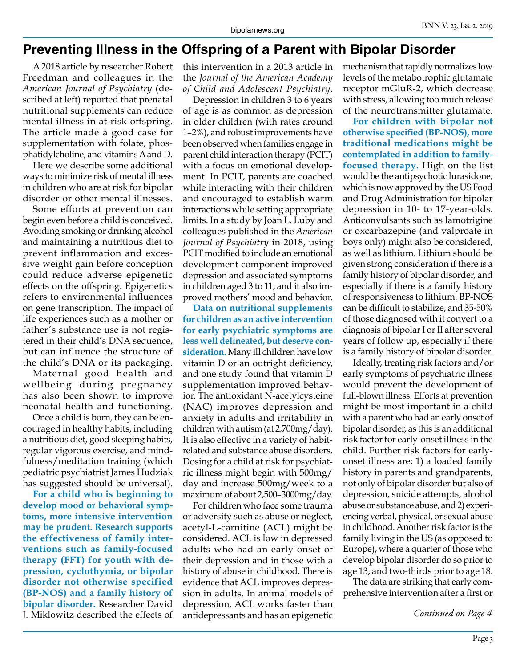#### **Preventing Illness in the Offspring of a Parent with Bipolar Disorder**

A 2018 article by researcher Robert Freedman and colleagues in the *American Journal of Psychiatry* (described at left) reported that prenatal nutritional supplements can reduce mental illness in at-risk offspring. The article made a good case for supplementation with folate, phosphatidylcholine, and vitamins A and D.

Here we describe some additional ways to minimize risk of mental illness in children who are at risk for bipolar disorder or other mental illnesses.

Some efforts at prevention can begin even before a child is conceived. Avoiding smoking or drinking alcohol and maintaining a nutritious diet to prevent inflammation and excessive weight gain before conception could reduce adverse epigenetic effects on the offspring. Epigenetics refers to environmental influences on gene transcription. The impact of life experiences such as a mother or father's substance use is not registered in their child's DNA sequence, but can influence the structure of the child's DNA or its packaging.

Maternal good health and wellbeing during pregnancy has also been shown to improve neonatal health and functioning.

Once a child is born, they can be encouraged in healthy habits, including a nutritious diet, good sleeping habits, regular vigorous exercise, and mindfulness/meditation training (which pediatric psychiatrist James Hudziak has suggested should be universal).

**For a child who is beginning to develop mood or behavioral symptoms, more intensive intervention may be prudent. Research supports the effectiveness of family interventions such as family-focused therapy (FFT) for youth with depression, cyclothymia, or bipolar disorder not otherwise specified (BP-NOS) and a family history of bipolar disorder.** Researcher David J. Miklowitz described the effects of

this intervention in a 2013 article in the *Journal of the American Academy of Child and Adolescent Psychiatry*.

Depression in children 3 to 6 years of age is as common as depression in older children (with rates around 1–2%), and robust improvements have been observed when families engage in parent child interaction therapy (PCIT) with a focus on emotional development. In PCIT, parents are coached while interacting with their children and encouraged to establish warm interactions while setting appropriate limits. In a study by Joan L. Luby and colleagues published in the *American Journal of Psychiatry* in 2018, using PCIT modified to include an emotional development component improved depression and associated symptoms in children aged 3 to 11, and it also improved mothers' mood and behavior.

**Data on nutritional supplements for children as an active intervention for early psychiatric symptoms are less well delineated, but deserve consideration.** Many ill children have low vitamin D or an outright deficiency, and one study found that vitamin D supplementation improved behavior. The antioxidant N-acetylcysteine (NAC) improves depression and anxiety in adults and irritability in children with autism (at 2,700mg/day). It is also effective in a variety of habitrelated and substance abuse disorders. Dosing for a child at risk for psychiatric illness might begin with 500mg/ day and increase 500mg/week to a maximum of about 2,500–3000mg/day.

For children who face some trauma or adversity such as abuse or neglect, acetyl-L-carnitine (ACL) might be considered. ACL is low in depressed adults who had an early onset of their depression and in those with a history of abuse in childhood. There is evidence that ACL improves depression in adults. In animal models of depression, ACL works faster than antidepressants and has an epigenetic

mechanism that rapidly normalizes low levels of the metabotrophic glutamate receptor mGluR-2, which decrease with stress, allowing too much release of the neurotransmitter glutamate.

**For children with bipolar not otherwise specified (BP-NOS), more traditional medications might be contemplated in addition to familyfocused therapy.** High on the list would be the antipsychotic lurasidone, which is now approved by the US Food and Drug Administration for bipolar depression in 10- to 17-year-olds. Anticonvulsants such as lamotrigine or oxcarbazepine (and valproate in boys only) might also be considered, as well as lithium. Lithium should be given strong consideration if there is a family history of bipolar disorder, and especially if there is a family history of responsiveness to lithium. BP-NOS can be difficult to stabilize, and 35-50% of those diagnosed with it convert to a diagnosis of bipolar I or II after several years of follow up, especially if there is a family history of bipolar disorder.

Ideally, treating risk factors and/or early symptoms of psychiatric illness would prevent the development of full-blown illness. Efforts at prevention might be most important in a child with a parent who had an early onset of bipolar disorder, as this is an additional risk factor for early-onset illness in the child. Further risk factors for earlyonset illness are: 1) a loaded family history in parents and grandparents, not only of bipolar disorder but also of depression, suicide attempts, alcohol abuse or substance abuse, and 2) experiencing verbal, physical, or sexual abuse in childhood. Another risk factor is the family living in the US (as opposed to Europe), where a quarter of those who develop bipolar disorder do so prior to age 13, and two-thirds prior to age 18.

The data are striking that early comprehensive intervention after a first or

*Continued on Page 4*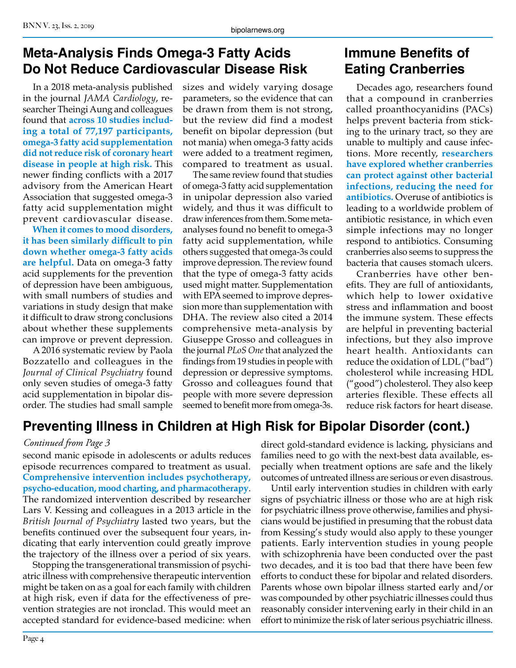## **Meta-Analysis Finds Omega-3 Fatty Acids Do Not Reduce Cardiovascular Disease Risk**

In a 2018 meta-analysis published in the journal *JAMA Cardiology*, researcher Theingi Aung and colleagues found that **across 10 studies including a total of 77,197 participants, omega-3 fatty acid supplementation did not reduce risk of coronary heart disease in people at high risk.** This newer finding conflicts with a 2017 advisory from the American Heart Association that suggested omega-3 fatty acid supplementation might prevent cardiovascular disease.

**When it comes to mood disorders, it has been similarly difficult to pin down whether omega-3 fatty acids are helpful.** Data on omega-3 fatty acid supplements for the prevention of depression have been ambiguous, with small numbers of studies and variations in study design that make it difficult to draw strong conclusions about whether these supplements can improve or prevent depression.

A 2016 systematic review by Paola Bozzatello and colleagues in the *Journal of Clinical Psychiatry* found only seven studies of omega-3 fatty acid supplementation in bipolar disorder. The studies had small sample sizes and widely varying dosage parameters, so the evidence that can be drawn from them is not strong, but the review did find a modest benefit on bipolar depression (but not mania) when omega-3 fatty acids were added to a treatment regimen, compared to treatment as usual.

The same review found that studies of omega-3 fatty acid supplementation in unipolar depression also varied widely, and thus it was difficult to draw inferences from them. Some metaanalyses found no benefit to omega-3 fatty acid supplementation, while others suggested that omega-3s could improve depression. The review found that the type of omega-3 fatty acids used might matter. Supplementation with EPA seemed to improve depression more than supplementation with DHA. The review also cited a 2014 comprehensive meta-analysis by Giuseppe Grosso and colleagues in the journal *PLoS One* that analyzed the findings from 19 studies in people with depression or depressive symptoms. Grosso and colleagues found that people with more severe depression seemed to benefit more from omega-3s.

# **Immune Benefits of Eating Cranberries**

Decades ago, researchers found that a compound in cranberries called proanthocyanidins (PACs) helps prevent bacteria from sticking to the urinary tract, so they are unable to multiply and cause infections. More recently, **researchers have explored whether cranberries can protect against other bacterial infections, reducing the need for antibiotics.** Overuse of antibiotics is leading to a worldwide problem of antibiotic resistance, in which even simple infections may no longer respond to antibiotics. Consuming cranberries also seems to suppress the bacteria that causes stomach ulcers.

Cranberries have other benefits. They are full of antioxidants, which help to lower oxidative stress and inflammation and boost the immune system. These effects are helpful in preventing bacterial infections, but they also improve heart health. Antioxidants can reduce the oxidation of LDL ("bad") cholesterol while increasing HDL ("good") cholesterol. They also keep arteries flexible. These effects all reduce risk factors for heart disease.

# **Preventing Illness in Children at High Risk for Bipolar Disorder (cont.)**

#### *Continued from Page 3*

second manic episode in adolescents or adults reduces episode recurrences compared to treatment as usual. **Comprehensive intervention includes psychotherapy, psycho-education, mood charting, and pharmacotherapy**. The randomized intervention described by researcher Lars V. Kessing and colleagues in a 2013 article in the *British Journal of Psychiatry* lasted two years, but the benefits continued over the subsequent four years, indicating that early intervention could greatly improve the trajectory of the illness over a period of six years.

Stopping the transgenerational transmission of psychiatric illness with comprehensive therapeutic intervention might be taken on as a goal for each family with children at high risk, even if data for the effectiveness of prevention strategies are not ironclad. This would meet an accepted standard for evidence-based medicine: when

direct gold-standard evidence is lacking, physicians and families need to go with the next-best data available, especially when treatment options are safe and the likely outcomes of untreated illness are serious or even disastrous.

Until early intervention studies in children with early signs of psychiatric illness or those who are at high risk for psychiatric illness prove otherwise, families and physicians would be justified in presuming that the robust data from Kessing's study would also apply to these younger patients. Early intervention studies in young people with schizophrenia have been conducted over the past two decades, and it is too bad that there have been few efforts to conduct these for bipolar and related disorders. Parents whose own bipolar illness started early and/or was compounded by other psychiatric illnesses could thus reasonably consider intervening early in their child in an effort to minimize the risk of later serious psychiatric illness.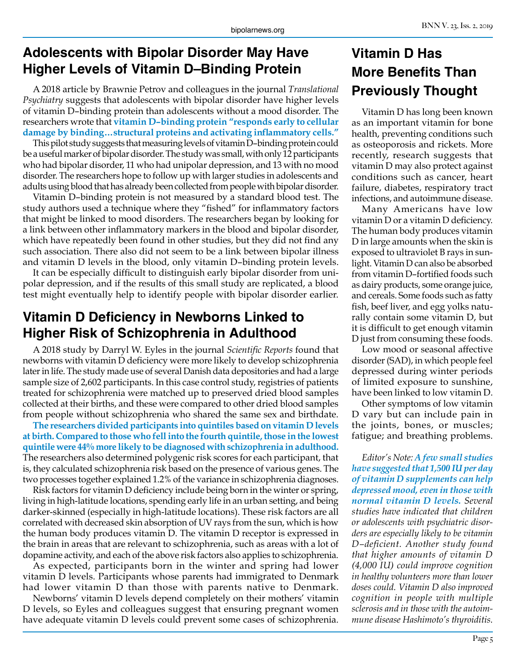## **Adolescents with Bipolar Disorder May Have Higher Levels of Vitamin D–Binding Protein**

A 2018 article by Brawnie Petrov and colleagues in the journal *Translational Psychiatry* suggests that adolescents with bipolar disorder have higher levels of vitamin D–binding protein than adolescents without a mood disorder. The researchers wrote that **vitamin D–binding protein "responds early to cellular damage by binding…structural proteins and activating inflammatory cells."** 

This pilot study suggests that measuring levels of vitamin D–binding protein could be a useful marker of bipolar disorder. The study was small, with only 12 participants who had bipolar disorder, 11 who had unipolar depression, and 13 with no mood disorder. The researchers hope to follow up with larger studies in adolescents and adults using blood that has already been collected from people with bipolar disorder.

Vitamin D–binding protein is not measured by a standard blood test. The study authors used a technique where they "fished" for inflammatory factors that might be linked to mood disorders. The researchers began by looking for a link between other inflammatory markers in the blood and bipolar disorder, which have repeatedly been found in other studies, but they did not find any such association. There also did not seem to be a link between bipolar illness and vitamin D levels in the blood, only vitamin D–binding protein levels.

It can be especially difficult to distinguish early bipolar disorder from unipolar depression, and if the results of this small study are replicated, a blood test might eventually help to identify people with bipolar disorder earlier.

## **Vitamin D Deficiency in Newborns Linked to Higher Risk of Schizophrenia in Adulthood**

A 2018 study by Darryl W. Eyles in the journal *Scientific Reports* found that newborns with vitamin D deficiency were more likely to develop schizophrenia later in life. The study made use of several Danish data depositories and had a large sample size of 2,602 participants. In this case control study, registries of patients treated for schizophrenia were matched up to preserved dried blood samples collected at their births, and these were compared to other dried blood samples from people without schizophrenia who shared the same sex and birthdate.

**The researchers divided participants into quintiles based on vitamin D levels at birth. Compared to those who fell into the fourth quintile, those in the lowest quintile were 44% more likely to be diagnosed with schizophrenia in adulthood.**  The researchers also determined polygenic risk scores for each participant, that is, they calculated schizophrenia risk based on the presence of various genes. The two processes together explained 1.2% of the variance in schizophrenia diagnoses.

Risk factors for vitamin D deficiency include being born in the winter or spring, living in high-latitude locations, spending early life in an urban setting, and being darker-skinned (especially in high-latitude locations). These risk factors are all correlated with decreased skin absorption of UV rays from the sun, which is how the human body produces vitamin D. The vitamin D receptor is expressed in the brain in areas that are relevant to schizophrenia, such as areas with a lot of dopamine activity, and each of the above risk factors also applies to schizophrenia.

As expected, participants born in the winter and spring had lower vitamin D levels. Participants whose parents had immigrated to Denmark had lower vitamin D than those with parents native to Denmark.

Newborns' vitamin D levels depend completely on their mothers' vitamin D levels, so Eyles and colleagues suggest that ensuring pregnant women have adequate vitamin D levels could prevent some cases of schizophrenia.

# **Vitamin D Has More Benefits Than Previously Thought**

Vitamin D has long been known as an important vitamin for bone health, preventing conditions such as osteoporosis and rickets. More recently, research suggests that vitamin D may also protect against conditions such as cancer, heart failure, diabetes, respiratory tract infections, and autoimmune disease.

Many Americans have low vitamin D or a vitamin D deficiency. The human body produces vitamin D in large amounts when the skin is exposed to ultraviolet B rays in sunlight. Vitamin D can also be absorbed from vitamin D–fortified foods such as dairy products, some orange juice, and cereals. Some foods such as fatty fish, beef liver, and egg yolks naturally contain some vitamin D, but it is difficult to get enough vitamin D just from consuming these foods.

Low mood or seasonal affective disorder (SAD), in which people feel depressed during winter periods of limited exposure to sunshine, have been linked to low vitamin D.

Other symptoms of low vitamin D vary but can include pain in the joints, bones, or muscles; fatigue; and breathing problems.

*Editor's Note: A few small studies have suggested that 1,500 IU per day of vitamin D supplements can help depressed mood, even in those with normal vitamin D levels. Several studies have indicated that children or adolescents with psychiatric disorders are especially likely to be vitamin D–deficient. Another study found that higher amounts of vitamin D (4,000 IU) could improve cognition in healthy volunteers more than lower doses could. Vitamin D also improved cognition in people with multiple sclerosis and in those with the autoimmune disease Hashimoto's thyroiditis.*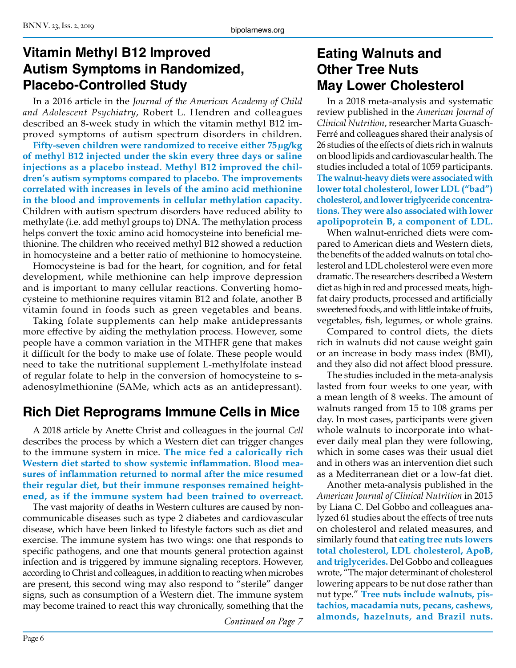# **Vitamin Methyl B12 Improved Autism Symptoms in Randomized, Placebo-Controlled Study**

In a 2016 article in the *Journal of the American Academy of Child and Adolescent Psychiatry*, Robert L. Hendren and colleagues described an 8-week study in which the vitamin methyl B12 improved symptoms of autism spectrum disorders in children.

**Fifty-seven children were randomized to receive either 75μg/kg of methyl B12 injected under the skin every three days or saline injections as a placebo instead. Methyl B12 improved the children's autism symptoms compared to placebo. The improvements correlated with increases in levels of the amino acid methionine in the blood and improvements in cellular methylation capacity.**  Children with autism spectrum disorders have reduced ability to methylate (i.e. add methyl groups to) DNA. The methylation process helps convert the toxic amino acid homocysteine into beneficial methionine. The children who received methyl B12 showed a reduction in homocysteine and a better ratio of methionine to homocysteine.

Homocysteine is bad for the heart, for cognition, and for fetal development, while methionine can help improve depression and is important to many cellular reactions. Converting homocysteine to methionine requires vitamin B12 and folate, another B vitamin found in foods such as green vegetables and beans.

Taking folate supplements can help make antidepressants more effective by aiding the methylation process. However, some people have a common variation in the MTHFR gene that makes it difficult for the body to make use of folate. These people would need to take the nutritional supplement L-methylfolate instead of regular folate to help in the conversion of homocysteine to sadenosylmethionine (SAMe, which acts as an antidepressant).

# **Rich Diet Reprograms Immune Cells in Mice**

A 2018 article by Anette Christ and colleagues in the journal *Cell* describes the process by which a Western diet can trigger changes to the immune system in mice. **The mice fed a calorically rich Western diet started to show systemic inflammation. Blood measures of inflammation returned to normal after the mice resumed their regular diet, but their immune responses remained heightened, as if the immune system had been trained to overreact.**

The vast majority of deaths in Western cultures are caused by noncommunicable diseases such as type 2 diabetes and cardiovascular disease, which have been linked to lifestyle factors such as diet and exercise. The immune system has two wings: one that responds to specific pathogens, and one that mounts general protection against infection and is triggered by immune signaling receptors. However, according to Christ and colleagues, in addition to reacting when microbes are present, this second wing may also respond to "sterile" danger signs, such as consumption of a Western diet. The immune system may become trained to react this way chronically, something that the

# **Eating Walnuts and Other Tree Nuts May Lower Cholesterol**

In a 2018 meta-analysis and systematic review published in the *American Journal of Clinical Nutrition*, researcher Marta Guasch-Ferré and colleagues shared their analysis of 26 studies of the effects of diets rich in walnuts on blood lipids and cardiovascular health. The studies included a total of 1059 participants. **The walnut-heavy diets were associated with lower total cholesterol, lower LDL ("bad") cholesterol, and lower triglyceride concentrations. They were also associated with lower apolipoprotein B, a component of LDL.**

When walnut-enriched diets were compared to American diets and Western diets, the benefits of the added walnuts on total cholesterol and LDL cholesterol were even more dramatic. The researchers described a Western diet as high in red and processed meats, highfat dairy products, processed and artificially sweetened foods, and with little intake of fruits, vegetables, fish, legumes, or whole grains.

Compared to control diets, the diets rich in walnuts did not cause weight gain or an increase in body mass index (BMI), and they also did not affect blood pressure.

The studies included in the meta-analysis lasted from four weeks to one year, with a mean length of 8 weeks. The amount of walnuts ranged from 15 to 108 grams per day. In most cases, participants were given whole walnuts to incorporate into whatever daily meal plan they were following, which in some cases was their usual diet and in others was an intervention diet such as a Mediterranean diet or a low-fat diet.

Another meta-analysis published in the *American Journal of Clinical Nutrition* in 2015 by Liana C. Del Gobbo and colleagues analyzed 61 studies about the effects of tree nuts on cholesterol and related measures, and similarly found that **eating tree nuts lowers total cholesterol, LDL cholesterol, ApoB, and triglycerides.** Del Gobbo and colleagues wrote, "The major determinant of cholesterol lowering appears to be nut dose rather than nut type." **Tree nuts include walnuts, pistachios, macadamia nuts, pecans, cashews, almonds, hazelnuts, and Brazil nuts.** *Continued on Page 7*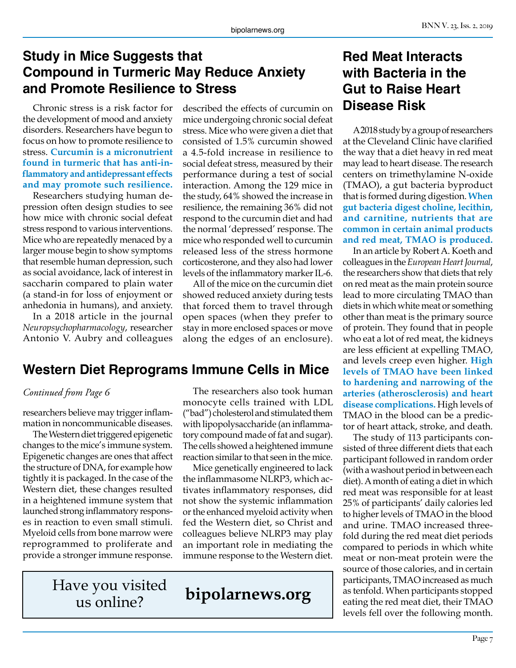# **Study in Mice Suggests that Compound in Turmeric May Reduce Anxiety and Promote Resilience to Stress**

Chronic stress is a risk factor for the development of mood and anxiety disorders. Researchers have begun to focus on how to promote resilience to stress. **Curcumin is a micronutrient found in turmeric that has anti-inflammatory and antidepressant effects and may promote such resilience.**

Researchers studying human depression often design studies to see how mice with chronic social defeat stress respond to various interventions. Mice who are repeatedly menaced by a larger mouse begin to show symptoms that resemble human depression, such as social avoidance, lack of interest in saccharin compared to plain water (a stand-in for loss of enjoyment or anhedonia in humans), and anxiety.

In a 2018 article in the journal *Neuropsychopharmacology*, researcher Antonio V. Aubry and colleagues

described the effects of curcumin on mice undergoing chronic social defeat stress. Mice who were given a diet that consisted of 1.5% curcumin showed a 4.5-fold increase in resilience to social defeat stress, measured by their performance during a test of social interaction. Among the 129 mice in the study, 64% showed the increase in resilience, the remaining 36% did not respond to the curcumin diet and had the normal 'depressed' response. The mice who responded well to curcumin released less of the stress hormone corticosterone, and they also had lower levels of the inflammatory marker IL-6.

All of the mice on the curcumin diet showed reduced anxiety during tests that forced them to travel through open spaces (when they prefer to stay in more enclosed spaces or move along the edges of an enclosure).

# **Western Diet Reprograms Immune Cells in Mice**

#### *Continued from Page 6*

researchers believe may trigger inflammation in noncommunicable diseases.

The Western diet triggered epigenetic changes to the mice's immune system. Epigenetic changes are ones that affect the structure of DNA, for example how tightly it is packaged. In the case of the Western diet, these changes resulted in a heightened immune system that launched strong inflammatory responses in reaction to even small stimuli. Myeloid cells from bone marrow were reprogrammed to proliferate and provide a stronger immune response.

us online?

The researchers also took human monocyte cells trained with LDL ("bad") cholesterol and stimulated them with lipopolysaccharide (an inflammatory compound made of fat and sugar). The cells showed a heightened immune reaction similar to that seen in the mice.

Mice genetically engineered to lack the inflammasome NLRP3, which activates inflammatory responses, did not show the systemic inflammation or the enhanced myeloid activity when fed the Western diet, so Christ and colleagues believe NLRP3 may play an important role in mediating the immune response to the Western diet.

Have you visited<br>us online?<br>**bipolarnews.org** 

# **Red Meat Interacts with Bacteria in the Gut to Raise Heart Disease Risk**

A 2018 study by a group of researchers at the Cleveland Clinic have clarified the way that a diet heavy in red meat may lead to heart disease. The research centers on trimethylamine N-oxide (TMAO), a gut bacteria byproduct that is formed during digestion. **When gut bacteria digest choline, lecithin, and carnitine, nutrients that are common in certain animal products and red meat, TMAO is produced.**

In an article by Robert A. Koeth and colleagues in the *European Heart Journal*, the researchers show that diets that rely on red meat as the main protein source lead to more circulating TMAO than diets in which white meat or something other than meat is the primary source of protein. They found that in people who eat a lot of red meat, the kidneys are less efficient at expelling TMAO, and levels creep even higher. **High levels of TMAO have been linked to hardening and narrowing of the arteries (atherosclerosis) and heart disease complications.** High levels of TMAO in the blood can be a predictor of heart attack, stroke, and death.

The study of 113 participants consisted of three different diets that each participant followed in random order (with a washout period in between each diet). A month of eating a diet in which red meat was responsible for at least 25% of participants' daily calories led to higher levels of TMAO in the blood and urine. TMAO increased threefold during the red meat diet periods compared to periods in which white meat or non-meat protein were the source of those calories, and in certain participants, TMAO increased as much as tenfold. When participants stopped eating the red meat diet, their TMAO levels fell over the following month.